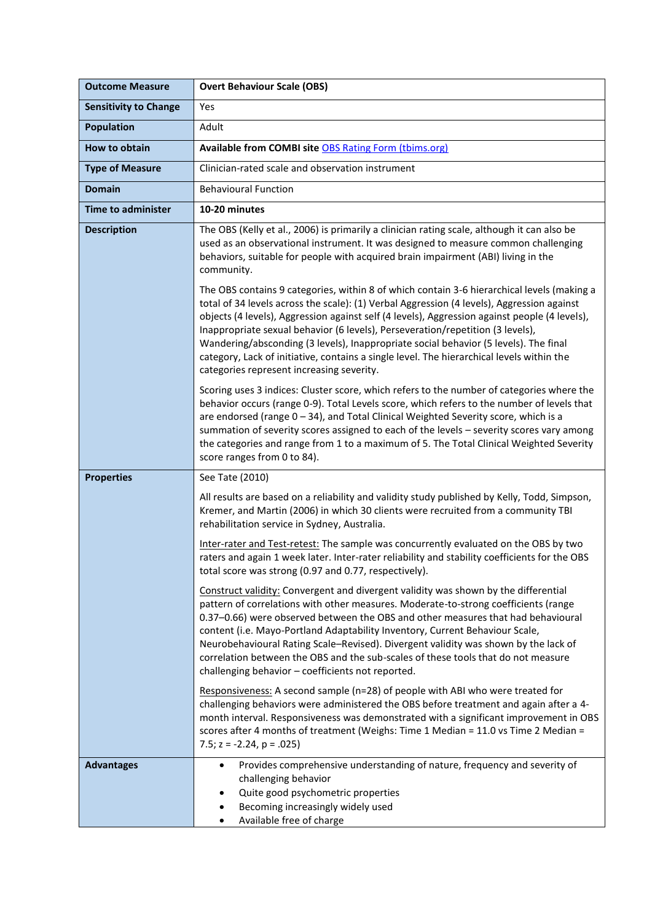| <b>Outcome Measure</b>       | <b>Overt Behaviour Scale (OBS)</b>                                                                                                                                                                                                                                                                                                                                                                                                                                                                                                                                                                            |
|------------------------------|---------------------------------------------------------------------------------------------------------------------------------------------------------------------------------------------------------------------------------------------------------------------------------------------------------------------------------------------------------------------------------------------------------------------------------------------------------------------------------------------------------------------------------------------------------------------------------------------------------------|
| <b>Sensitivity to Change</b> | Yes                                                                                                                                                                                                                                                                                                                                                                                                                                                                                                                                                                                                           |
| <b>Population</b>            | Adult                                                                                                                                                                                                                                                                                                                                                                                                                                                                                                                                                                                                         |
| How to obtain                | Available from COMBI site OBS Rating Form (tbims.org)                                                                                                                                                                                                                                                                                                                                                                                                                                                                                                                                                         |
| <b>Type of Measure</b>       | Clinician-rated scale and observation instrument                                                                                                                                                                                                                                                                                                                                                                                                                                                                                                                                                              |
| <b>Domain</b>                | <b>Behavioural Function</b>                                                                                                                                                                                                                                                                                                                                                                                                                                                                                                                                                                                   |
| <b>Time to administer</b>    | 10-20 minutes                                                                                                                                                                                                                                                                                                                                                                                                                                                                                                                                                                                                 |
| <b>Description</b>           | The OBS (Kelly et al., 2006) is primarily a clinician rating scale, although it can also be<br>used as an observational instrument. It was designed to measure common challenging<br>behaviors, suitable for people with acquired brain impairment (ABI) living in the<br>community.                                                                                                                                                                                                                                                                                                                          |
|                              | The OBS contains 9 categories, within 8 of which contain 3-6 hierarchical levels (making a<br>total of 34 levels across the scale): (1) Verbal Aggression (4 levels), Aggression against<br>objects (4 levels), Aggression against self (4 levels), Aggression against people (4 levels),<br>Inappropriate sexual behavior (6 levels), Perseveration/repetition (3 levels),<br>Wandering/absconding (3 levels), Inappropriate social behavior (5 levels). The final<br>category, Lack of initiative, contains a single level. The hierarchical levels within the<br>categories represent increasing severity. |
|                              | Scoring uses 3 indices: Cluster score, which refers to the number of categories where the<br>behavior occurs (range 0-9). Total Levels score, which refers to the number of levels that<br>are endorsed (range 0 - 34), and Total Clinical Weighted Severity score, which is a<br>summation of severity scores assigned to each of the levels - severity scores vary among<br>the categories and range from 1 to a maximum of 5. The Total Clinical Weighted Severity<br>score ranges from 0 to 84).                                                                                                          |
| <b>Properties</b>            | See Tate (2010)                                                                                                                                                                                                                                                                                                                                                                                                                                                                                                                                                                                               |
|                              | All results are based on a reliability and validity study published by Kelly, Todd, Simpson,<br>Kremer, and Martin (2006) in which 30 clients were recruited from a community TBI<br>rehabilitation service in Sydney, Australia.                                                                                                                                                                                                                                                                                                                                                                             |
|                              | Inter-rater and Test-retest: The sample was concurrently evaluated on the OBS by two<br>raters and again 1 week later. Inter-rater reliability and stability coefficients for the OBS<br>total score was strong (0.97 and 0.77, respectively).                                                                                                                                                                                                                                                                                                                                                                |
|                              | Construct validity: Convergent and divergent validity was shown by the differential<br>pattern of correlations with other measures. Moderate-to-strong coefficients (range<br>0.37-0.66) were observed between the OBS and other measures that had behavioural<br>content (i.e. Mayo-Portland Adaptability Inventory, Current Behaviour Scale,<br>Neurobehavioural Rating Scale-Revised). Divergent validity was shown by the lack of<br>correlation between the OBS and the sub-scales of these tools that do not measure<br>challenging behavior - coefficients not reported.                               |
|                              | Responsiveness: A second sample (n=28) of people with ABI who were treated for<br>challenging behaviors were administered the OBS before treatment and again after a 4-<br>month interval. Responsiveness was demonstrated with a significant improvement in OBS<br>scores after 4 months of treatment (Weighs: Time 1 Median = 11.0 vs Time 2 Median =<br>7.5; $z = -2.24$ , $p = .025$ )                                                                                                                                                                                                                    |
| <b>Advantages</b>            | Provides comprehensive understanding of nature, frequency and severity of<br>$\bullet$<br>challenging behavior<br>Quite good psychometric properties<br>٠<br>Becoming increasingly widely used<br>Available free of charge                                                                                                                                                                                                                                                                                                                                                                                    |